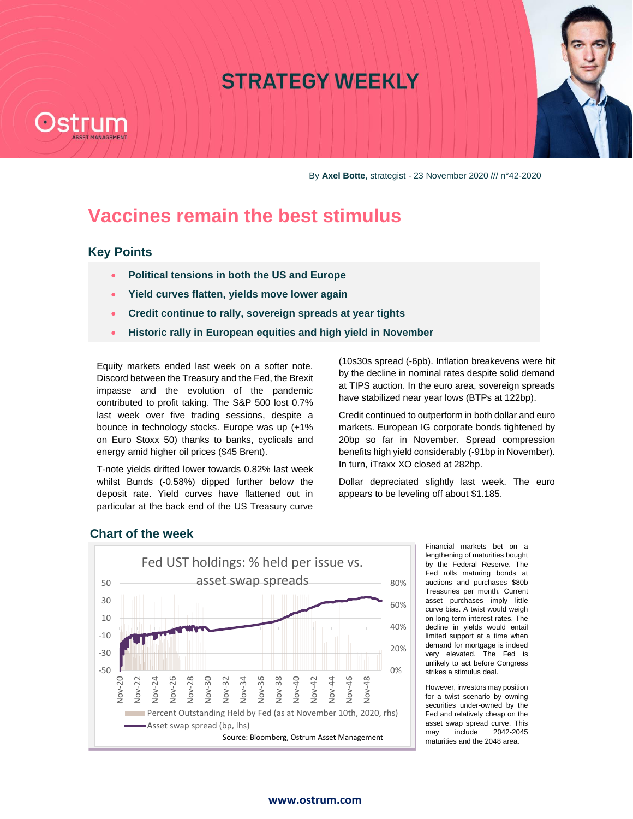# **STRATEGY WEEKLY**



By **Axel Botte**, strategist - 23 November 2020 /// n°42-2020

# **Vaccines remain the best stimulus**

# **Key Points**

- **Political tensions in both the US and Europe**
- **Yield curves flatten, yields move lower again**
- **Credit continue to rally, sovereign spreads at year tights**
- **Historic rally in European equities and high yield in November**

Equity markets ended last week on a softer note. Discord between the Treasury and the Fed, the Brexit impasse and the evolution of the pandemic contributed to profit taking. The S&P 500 lost 0.7% last week over five trading sessions, despite a bounce in technology stocks. Europe was up (+1% on Euro Stoxx 50) thanks to banks, cyclicals and energy amid higher oil prices (\$45 Brent).

T-note yields drifted lower towards 0.82% last week whilst Bunds (-0.58%) dipped further below the deposit rate. Yield curves have flattened out in particular at the back end of the US Treasury curve

(10s30s spread (-6pb). Inflation breakevens were hit by the decline in nominal rates despite solid demand at TIPS auction. In the euro area, sovereign spreads have stabilized near year lows (BTPs at 122bp).

Credit continued to outperform in both dollar and euro markets. European IG corporate bonds tightened by 20bp so far in November. Spread compression benefits high yield considerably (-91bp in November). In turn, iTraxx XO closed at 282bp.

Dollar depreciated slightly last week. The euro appears to be leveling off about \$1.185.



**Chart of the week**

Financial markets bet on a lengthening of maturities bought by the Federal Reserve. The Fed rolls maturing bonds at auctions and purchases \$80b Treasuries per month. Current asset purchases imply little curve bias. A twist would weigh on long-term interest rates. The decline in yields would entail limited support at a time when demand for mortgage is indeed very elevated. The Fed is unlikely to act before Congress strikes a stimulus deal.

However, investors may position for a twist scenario by owning securities under-owned by the Fed and relatively cheap on the asset swap spread curve. This<br>may include 2042-2045  $may$  include maturities and the 2048 area.

### [www.ostrum.com](http://www.ostrum.com/)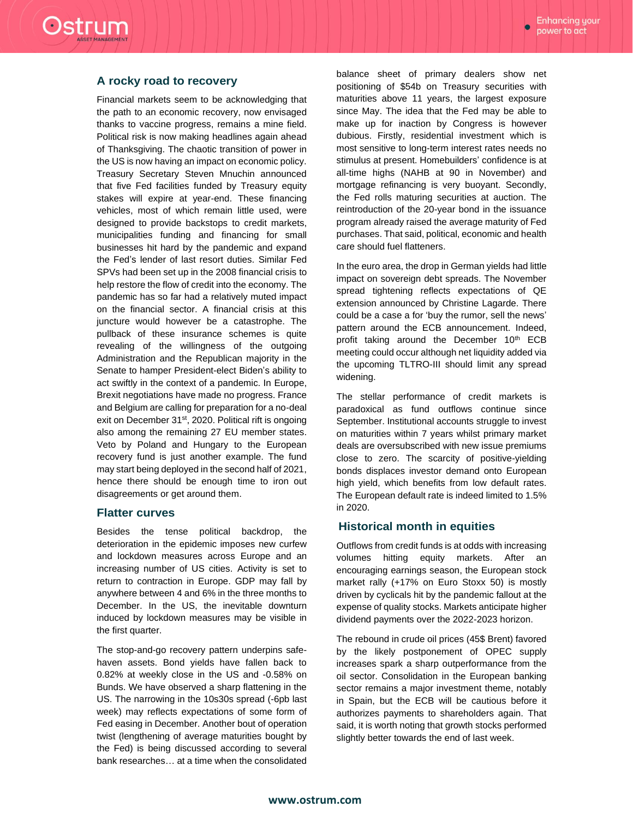### **A rocky road to recovery**

Ostrum

Financial markets seem to be acknowledging that the path to an economic recovery, now envisaged thanks to vaccine progress, remains a mine field. Political risk is now making headlines again ahead of Thanksgiving. The chaotic transition of power in the US is now having an impact on economic policy. Treasury Secretary Steven Mnuchin announced that five Fed facilities funded by Treasury equity stakes will expire at year-end. These financing vehicles, most of which remain little used, were designed to provide backstops to credit markets, municipalities funding and financing for small businesses hit hard by the pandemic and expand the Fed's lender of last resort duties. Similar Fed SPVs had been set up in the 2008 financial crisis to help restore the flow of credit into the economy. The pandemic has so far had a relatively muted impact on the financial sector. A financial crisis at this juncture would however be a catastrophe. The pullback of these insurance schemes is quite revealing of the willingness of the outgoing Administration and the Republican majority in the Senate to hamper President-elect Biden's ability to act swiftly in the context of a pandemic. In Europe, Brexit negotiations have made no progress. France and Belgium are calling for preparation for a no-deal exit on December 31<sup>st</sup>, 2020. Political rift is ongoing also among the remaining 27 EU member states. Veto by Poland and Hungary to the European recovery fund is just another example. The fund may start being deployed in the second half of 2021, hence there should be enough time to iron out disagreements or get around them.

### **Flatter curves**

Besides the tense political backdrop, the deterioration in the epidemic imposes new curfew and lockdown measures across Europe and an increasing number of US cities. Activity is set to return to contraction in Europe. GDP may fall by anywhere between 4 and 6% in the three months to December. In the US, the inevitable downturn induced by lockdown measures may be visible in the first quarter.

The stop-and-go recovery pattern underpins safehaven assets. Bond yields have fallen back to 0.82% at weekly close in the US and -0.58% on Bunds. We have observed a sharp flattening in the US. The narrowing in the 10s30s spread (-6pb last week) may reflects expectations of some form of Fed easing in December. Another bout of operation twist (lengthening of average maturities bought by the Fed) is being discussed according to several bank researches… at a time when the consolidated

balance sheet of primary dealers show net positioning of \$54b on Treasury securities with maturities above 11 years, the largest exposure since May. The idea that the Fed may be able to make up for inaction by Congress is however dubious. Firstly, residential investment which is most sensitive to long-term interest rates needs no stimulus at present. Homebuilders' confidence is at all-time highs (NAHB at 90 in November) and mortgage refinancing is very buoyant. Secondly, the Fed rolls maturing securities at auction. The reintroduction of the 20-year bond in the issuance program already raised the average maturity of Fed purchases. That said, political, economic and health care should fuel flatteners.

In the euro area, the drop in German yields had little impact on sovereign debt spreads. The November spread tightening reflects expectations of QE extension announced by Christine Lagarde. There could be a case a for 'buy the rumor, sell the news' pattern around the ECB announcement. Indeed, profit taking around the December 10<sup>th</sup> ECB meeting could occur although net liquidity added via the upcoming TLTRO-III should limit any spread widening.

The stellar performance of credit markets is paradoxical as fund outflows continue since September. Institutional accounts struggle to invest on maturities within 7 years whilst primary market deals are oversubscribed with new issue premiums close to zero. The scarcity of positive-yielding bonds displaces investor demand onto European high yield, which benefits from low default rates. The European default rate is indeed limited to 1.5% in 2020.

## **Historical month in equities**

Outflows from credit funds is at odds with increasing volumes hitting equity markets. After an encouraging earnings season, the European stock market rally (+17% on Euro Stoxx 50) is mostly driven by cyclicals hit by the pandemic fallout at the expense of quality stocks. Markets anticipate higher dividend payments over the 2022-2023 horizon.

The rebound in crude oil prices (45\$ Brent) favored by the likely postponement of OPEC supply increases spark a sharp outperformance from the oil sector. Consolidation in the European banking sector remains a major investment theme, notably in Spain, but the ECB will be cautious before it authorizes payments to shareholders again. That said, it is worth noting that growth stocks performed slightly better towards the end of last week.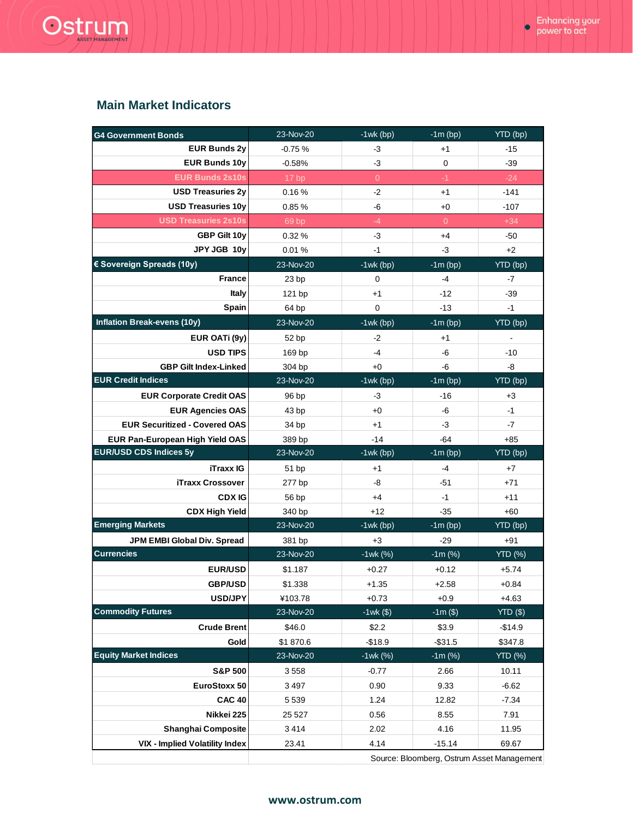# Ostrum

# **Main Market Indicators**

| <b>G4 Government Bonds</b>             | 23-Nov-20        | $-1$ wk $(bp)$ | $-1m$ (bp)     | YTD (bp)       |
|----------------------------------------|------------------|----------------|----------------|----------------|
| <b>EUR Bunds 2y</b>                    | $-0.75%$         | -3             | $+1$           | $-15$          |
| <b>EUR Bunds 10y</b>                   | $-0.58%$         | -3             | 0              | $-39$          |
| <b>EUR Bunds 2s10s</b>                 | 17 <sub>bp</sub> | $\overline{0}$ | $-1$           | $-24$          |
| <b>USD Treasuries 2y</b>               | 0.16%            | $-2$           | $+1$           | $-141$         |
| <b>USD Treasuries 10y</b>              | 0.85%            | -6             | +0             | $-107$         |
| <b>USD Treasuries 2s10s</b>            | 69 bp            | $-4$           | $\overline{0}$ | $+34$          |
| GBP Gilt 10y                           | 0.32%            | -3             | $+4$           | -50            |
| JPY JGB 10y                            | 0.01%            | $-1$           | -3             | +2             |
| € Sovereign Spreads (10y)              | 23-Nov-20        | $-1$ wk $(bp)$ | $-1m$ (bp)     | YTD (bp)       |
| <b>France</b>                          | 23 bp            | 0              | $-4$           | -7             |
| Italy                                  | 121 bp           | $+1$           | -12            | $-39$          |
| Spain                                  | 64 bp            | 0              | $-13$          | $-1$           |
| <b>Inflation Break-evens (10y)</b>     | 23-Nov-20        | $-1$ wk $(bp)$ | $-1m$ (bp)     | YTD (bp)       |
| EUR OATi (9y)                          | 52 bp            | $-2$           | $+1$           |                |
| <b>USD TIPS</b>                        | 169 bp           | $-4$           | -6             | $-10$          |
| <b>GBP Gilt Index-Linked</b>           | 304 bp           | $+0$           | -6             | -8             |
| <b>EUR Credit Indices</b>              | 23-Nov-20        | $-1$ wk $(bp)$ | $-1m$ (bp)     | YTD (bp)       |
| <b>EUR Corporate Credit OAS</b>        | 96 bp            | -3             | -16            | +3             |
| <b>EUR Agencies OAS</b>                | 43 bp            | $+0$           | -6             | $-1$           |
| <b>EUR Securitized - Covered OAS</b>   | 34 bp            | $+1$           | $-3$           | -7             |
| <b>EUR Pan-European High Yield OAS</b> | 389 bp           | $-14$          | -64            | $+85$          |
| <b>EUR/USD CDS Indices 5y</b>          | 23-Nov-20        | $-1$ wk $(bp)$ | $-1m$ (bp)     | YTD (bp)       |
| <b>iTraxx IG</b>                       | 51 bp            | $+1$           | $-4$           | $+7$           |
| <b>iTraxx Crossover</b>                | 277 bp           | -8             | -51            | $+71$          |
| <b>CDX IG</b>                          | 56 bp            | $+4$           | $-1$           | $+11$          |
| <b>CDX High Yield</b>                  | 340 bp           | $+12$          | $-35$          | $+60$          |
| <b>Emerging Markets</b>                | 23-Nov-20        | $-1$ wk $(bp)$ | $-1m$ (bp)     | YTD (bp)       |
| JPM EMBI Global Div. Spread            | 381 bp           | $+3$           | $-29$          | $+91$          |
| <b>Currencies</b>                      | 23-Nov-20        | $-1wk (%)$     | $-1m$ (%)      | <b>YTD</b> (%) |
| <b>EUR/USD</b>                         | \$1.187          | $+0.27$        | $+0.12$        | $+5.74$        |
| <b>GBP/USD</b>                         | \$1.338          | $+1.35$        | $+2.58$        | $+0.84$        |
| <b>USD/JPY</b>                         | ¥103.78          | $+0.73$        | $+0.9$         | $+4.63$        |
| <b>Commodity Futures</b>               | 23-Nov-20        | $-1wk($)$      | $-1m($ \$)     | YTD(\$)        |
| <b>Crude Brent</b>                     | \$46.0           | \$2.2          | \$3.9          | $-$14.9$       |
| Gold                                   | \$1870.6         | $-$18.9$       | $-$31.5$       | \$347.8        |
| <b>Equity Market Indices</b>           | 23-Nov-20        | $-1$ wk $(%)$  | $-1m$ (%)      | <b>YTD (%)</b> |
| <b>S&amp;P 500</b>                     | 3558             | $-0.77$        | 2.66           | 10.11          |
| EuroStoxx 50                           | 3497             | 0.90           | 9.33           | $-6.62$        |
| <b>CAC 40</b>                          | 5 5 3 9          | 1.24           | 12.82          | $-7.34$        |
| Nikkei 225                             | 25 5 27          | 0.56           | 8.55           | 7.91           |
| <b>Shanghai Composite</b>              |                  |                | 4.16           | 11.95          |
|                                        | 3414             | 2.02           |                |                |
| <b>VIX - Implied Volatility Index</b>  | 23.41            | 4.14           | $-15.14$       | 69.67          |

## [www.ostrum.com](http://www.ostrum.com/)